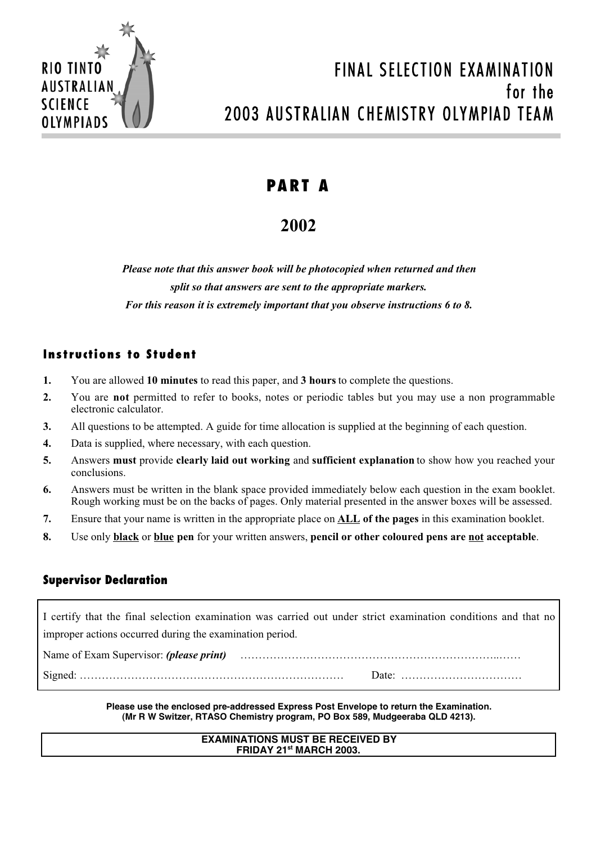

# FINAL SELECTION EXAMINATION for the 2003 AUSTRALIAN CHEMISTRY OLYMPIAD TEAM

# **PART A**

# **2002**

*Please note that this answer book will be photocopied when returned and then split so that answers are sent to the appropriate markers. For this reason it is extremely important that you observe instructions 6 to 8.*

# **Instructions to Student**

- **1.** You are allowed **10 minutes** to read this paper, and **3 hours** to complete the questions.
- **2.** You are **not** permitted to refer to books, notes or periodic tables but you may use a non programmable electronic calculator.
- **3.** All questions to be attempted. A guide for time allocation is supplied at the beginning of each question.
- **4.** Data is supplied, where necessary, with each question.
- **5.** Answers **must** provide **clearly laid out working** and **sufficient explanation** to show how you reached your conclusions.
- **6.** Answers must be written in the blank space provided immediately below each question in the exam booklet. Rough working must be on the backs of pages. Only material presented in the answer boxes will be assessed.
- **7.** Ensure that your name is written in the appropriate place on **ALL of the pages** in this examination booklet.
- **8.** Use only **black** or **blue pen** for your written answers, **pencil or other coloured pens are not acceptable**.

# **Supervisor Declaration**

I certify that the final selection examination was carried out under strict examination conditions and that no improper actions occurred during the examination period.

Name of Exam Supervisor: *(please print)* ……………………………………………………………..…… Signed: ……………………………………………………………… Date: ……………………………

> **Please use the enclosed pre-addressed Express Post Envelope to return the Examination. (Mr R W Switzer, RTASO Chemistry program, PO Box 589, Mudgeeraba QLD 4213).**

# **EXAMINATIONS MUST BE RECEIVED BY FRIDAY 21st MARCH 2003.**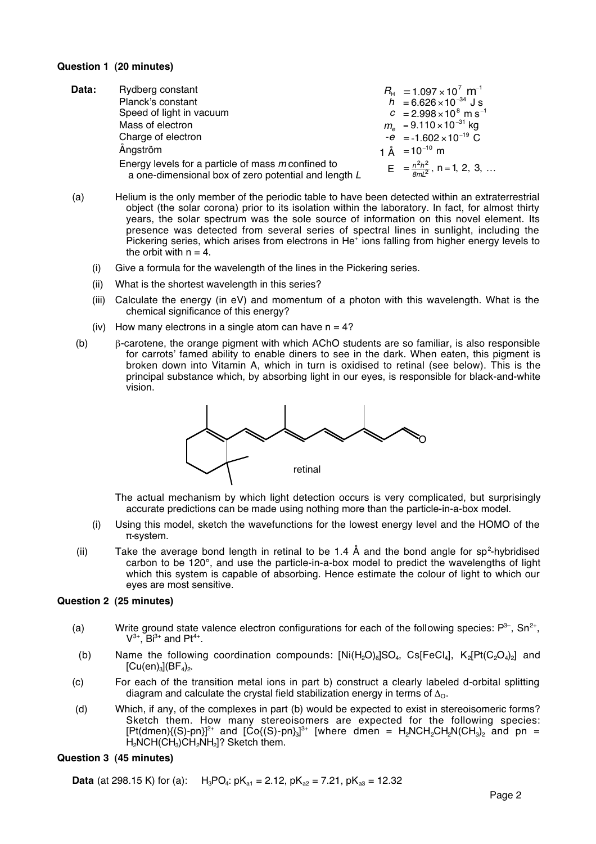### **Question 1 (20 minutes)**

| Data: | Rydberg constant                                                                                           | $R_{\text{H}}$ = 1.097 × 10 <sup>7</sup> m <sup>-1</sup> |
|-------|------------------------------------------------------------------------------------------------------------|----------------------------------------------------------|
|       | Planck's constant                                                                                          | $h = 6.626 \times 10^{-34}$ J s                          |
|       | Speed of light in vacuum                                                                                   | $c = 2.998 \times 10^8$ m s <sup>-1</sup>                |
|       | Mass of electron                                                                                           | $m_e$ = 9.110 × 10 <sup>-31</sup> kg                     |
|       | Charge of electron                                                                                         | $-e$ = -1.602 × 10 <sup>-19</sup> C                      |
|       | Ångström                                                                                                   | 1 Å = $10^{-10}$ m                                       |
|       | Energy levels for a particle of mass m confined to<br>a one-dimensional box of zero potential and length L | $E = \frac{n^2h^2}{8ml^2}$ , n = 1, 2, 3,                |

- (a) Helium is the only member of the periodic table to have been detected within an extraterrestrial object (the solar corona) prior to its isolation within the laboratory. In fact, for almost thirty years, the solar spectrum was the sole source of information on this novel element. Its presence was detected from several series of spectral lines in sunlight, including the Pickering series, which arises from electrons in He<sup>+</sup> ions falling from higher energy levels to the orbit with  $n = 4$ .
	- (i) Give a formula for the wavelength of the lines in the Pickering series.
	- (ii) What is the shortest wavelength in this series?
	- (iii) Calculate the energy (in eV) and momentum of a photon with this wavelength. What is the chemical significance of this energy?
	- (iv) How many electrons in a single atom can have  $n = 4$ ?
- (b) β-carotene, the orange pigment with which AChO students are so familiar, is also responsible for carrots' famed ability to enable diners to see in the dark. When eaten, this pigment is broken down into Vitamin A, which in turn is oxidised to retinal (see below). This is the principal substance which, by absorbing light in our eyes, is responsible for black-and-white vision.



The actual mechanism by which light detection occurs is very complicated, but surprisingly accurate predictions can be made using nothing more than the particle-in-a-box model.

- (i) Using this model, sketch the wavefunctions for the lowest energy level and the HOMO of the π-system.
- (ii) Take the average bond length in retinal to be 1.4 Å and the bond angle for sp<sup>2</sup>-hybridised carbon to be 120°, and use the particle-in-a-box model to predict the wavelengths of light which this system is capable of absorbing. Hence estimate the colour of light to which our eyes are most sensitive.

#### **Question 2 (25 minutes)**

- (a) Write ground state valence electron configurations for each of the following species:  $P^{3-}$ , Sn<sup>2+</sup>,  $V^{3+}$ ,  $Bi^{3+}$  and Pt<sup>4+</sup>.
- (b) Name the following coordination compounds:  $[Ni(H,Q)_6]SO_4$ , Cs[FeCl<sub>4</sub>], K<sub>2</sub>[Pt(C<sub>2</sub>O<sub>4</sub>)<sub>2</sub>] and  $[Cu(en)_3]$  $(BF_4)_2$ .
- (c) For each of the transition metal ions in part b) construct a clearly labeled d-orbital splitting diagram and calculate the crystal field stabilization energy in terms of  $\Delta_{\Omega}$ .
- (d) Which, if any, of the complexes in part (b) would be expected to exist in stereoisomeric forms? Sketch them. How many stereoisomers are expected for the following species: [Pt(dmen){(S)-pn}]<sup>2+</sup> and [Co{(S)-pn}<sub>3</sub>]<sup>3+</sup> [where dmen = H<sub>2</sub>NCH<sub>2</sub>CH<sub>2</sub>N(CH<sub>3</sub>)<sub>2</sub> and pn = H2NCH(CH3)CH2NH2]? Sketch them.

#### **Question 3 (45 minutes)**

**Data** (at 298.15 K) for (a):  $H_3PQ_4$ :  $pK_{a1} = 2.12$ ,  $pK_{a2} = 7.21$ ,  $pK_{a3} = 12.32$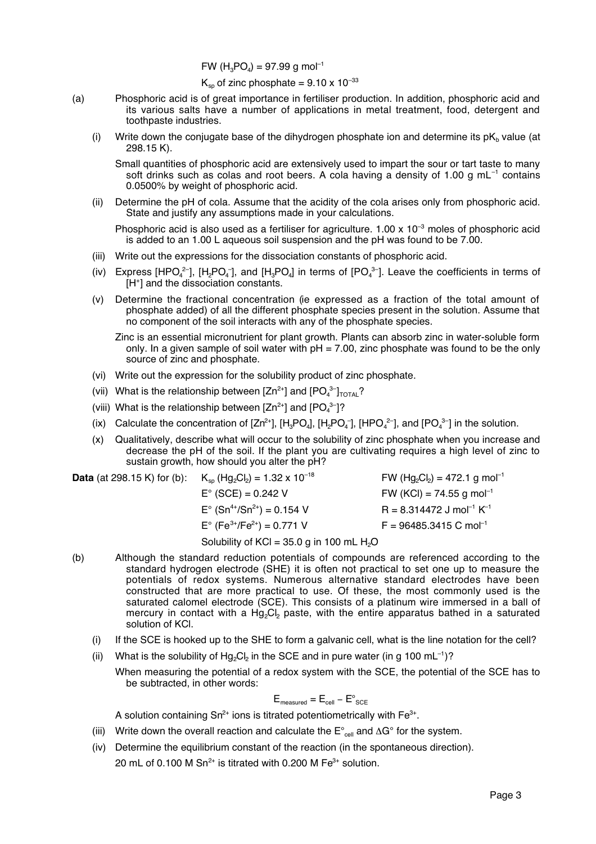FW  $(H_3PO_4) = 97.99$  g mol<sup>-1</sup>

 $K_{\rm{sp}}$  of zinc phosphate = 9.10 x 10<sup>-33</sup>

- (a) Phosphoric acid is of great importance in fertiliser production. In addition, phosphoric acid and its various salts have a number of applications in metal treatment, food, detergent and toothpaste industries.
	- (i) Write down the conjugate base of the dihydrogen phosphate ion and determine its  $pK_b$  value (at 298.15 K).

Small quantities of phosphoric acid are extensively used to impart the sour or tart taste to many soft drinks such as colas and root beers. A cola having a density of 1.00 g  $mL^{-1}$  contains 0.0500% by weight of phosphoric acid.

(ii) Determine the pH of cola. Assume that the acidity of the cola arises only from phosphoric acid. State and justify any assumptions made in your calculations.

Phosphoric acid is also used as a fertiliser for agriculture.  $1.00 \times 10^{-3}$  moles of phosphoric acid is added to an 1.00 L aqueous soil suspension and the pH was found to be 7.00.

- (iii) Write out the expressions for the dissociation constants of phosphoric acid.
- (iv) Express [HPO<sub>4</sub><sup>2-</sup>], [H<sub>2</sub>PO<sub>4</sub><sup>-</sup>], and [H<sub>3</sub>PO<sub>4</sub>] in terms of [PO<sub>4</sub><sup>3-</sup>]. Leave the coefficients in terms of [H+] and the dissociation constants.
- (v) Determine the fractional concentration (ie expressed as a fraction of the total amount of phosphate added) of all the different phosphate species present in the solution. Assume that no component of the soil interacts with any of the phosphate species.
	- Zinc is an essential micronutrient for plant growth. Plants can absorb zinc in water-soluble form only. In a given sample of soil water with  $pH = 7.00$ , zinc phosphate was found to be the only source of zinc and phosphate.
- (vi) Write out the expression for the solubility product of zinc phosphate.
- (vii) What is the relationship between  $[Zn^{2+}]$  and  $[PO_4^{3-}]_{TOTAL}$ ?
- (viii) What is the relationship between  $[Zn^{2+}]$  and  $[PO_4^{3-}]$ ?
- (ix) Calculate the concentration of  $[Zn^{2+}]$ ,  $[H_3PO_4]$ ,  $[H_2PO_4^-]$ ,  $[HPO_4^{2-}]$ , and  $[PO_4^{3-}]$  in the solution.
- (x) Qualitatively, describe what will occur to the solubility of zinc phosphate when you increase and decrease the pH of the soil. If the plant you are cultivating requires a high level of zinc to sustain growth, how should you alter the pH?

| <b>Data</b> (at 298.15 K) for (b): $K_{\text{so}}(Hg_2Cl_2) = 1.32 \times 10^{-18}$ | FW (Hg <sub>2</sub> Cl <sub>2</sub> ) = 472.1 g mol <sup>-1</sup> |
|-------------------------------------------------------------------------------------|-------------------------------------------------------------------|
| $E^{\circ}$ (SCE) = 0.242 V                                                         | FW (KCI) = 74.55 g mol <sup>-1</sup>                              |
| $E^{\circ}$ (Sn <sup>4+</sup> /Sn <sup>2+</sup> ) = 0.154 V                         | $R = 8.314472$ J mol <sup>-1</sup> K <sup>-1</sup>                |
| $E^{\circ}$ (Fe <sup>3+</sup> /Fe <sup>2+</sup> ) = 0.771 V                         | $F = 96485.3415$ C mol <sup>-1</sup>                              |
| Solubility of KCl = 35.0 g in 100 mL $H_2O$                                         |                                                                   |

- (b) Although the standard reduction potentials of compounds are referenced according to the standard hydrogen electrode (SHE) it is often not practical to set one up to measure the potentials of redox systems. Numerous alternative standard electrodes have been constructed that are more practical to use. Of these, the most commonly used is the saturated calomel electrode (SCE). This consists of a platinum wire immersed in a ball of mercury in contact with a Hg<sub>2</sub>Cl<sub>2</sub> paste, with the entire apparatus bathed in a saturated solution of KCl.
	- (i) If the SCE is hooked up to the SHE to form a galvanic cell, what is the line notation for the cell?
	- (ii) What is the solubility of Hg<sub>2</sub>Cl<sub>2</sub> in the SCE and in pure water (in g 100 mL<sup>-1</sup>)?
		- When measuring the potential of a redox system with the SCE, the potential of the SCE has to be subtracted, in other words:

$$
\mathsf{E}_{\mathsf{measured}} = \mathsf{E}_{\mathsf{cell}} - \mathsf{E}^{\circ}_{\mathsf{SCE}}
$$

A solution containing  $Sn^{2+}$  ions is titrated potentiometrically with  $Fe^{3+}$ .

- (iii) Write down the overall reaction and calculate the  $E^{\circ}$ <sub>cell</sub> and ∆G° for the system.
- (iv) Determine the equilibrium constant of the reaction (in the spontaneous direction). 20 mL of 0.100 M  $Sn^{2+}$  is titrated with 0.200 M  $Fe^{3+}$  solution.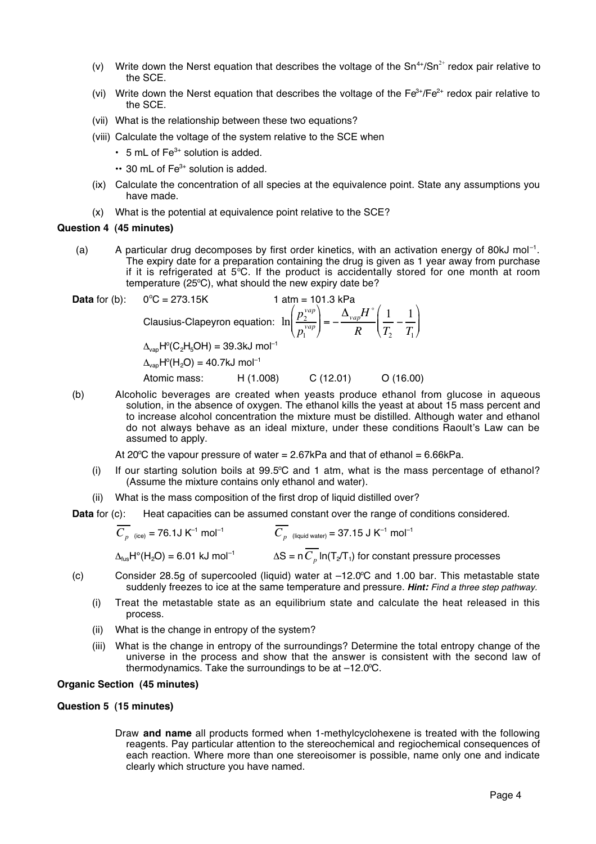- (v) Write down the Nerst equation that describes the voltage of the  $Sn^{4+}/Sn^{2+}$  redox pair relative to the SCE.
- (vi) Write down the Nerst equation that describes the voltage of the  $Fe<sup>3+</sup>/Fe<sup>2+</sup>$  redox pair relative to the SCE.
- (vii) What is the relationship between these two equations?
- (viii) Calculate the voltage of the system relative to the SCE when
	- $\cdot$  5 mL of Fe<sup>3+</sup> solution is added.
	- $\cdot\cdot$  30 mL of Fe<sup>3+</sup> solution is added.
- (ix) Calculate the concentration of all species at the equivalence point. State any assumptions you have made.
- (x) What is the potential at equivalence point relative to the SCE?

#### **Question 4 (45 minutes)**

(a) A particular drug decomposes by first order kinetics, with an activation energy of 80kJ mol<sup>-1</sup>. The expiry date for a preparation containing the drug is given as 1 year away from purchase if it is refrigerated at  $5^{\circ}$ C. If the product is accidentally stored for one month at room temperature (25°C), what should the new expiry date be?

**Data for (b):** 0°C = 273.15K  
\n1 atm = 101.3 kPa  
\nClassius-Clapeyron equation: 
$$
\ln\left(\frac{p_2^{vap}}{p_1^{vap}}\right) = -\frac{\Delta_{vap}H^{\circ}}{R}\left(\frac{1}{T_2} - \frac{1}{T_1}\right)
$$
  
\n $\Delta_{vap}H^{\circ}(C_2H_5OH) = 39.3kJ \text{ mol}^{-1}$   
\n $\Delta_{vap}H^{\circ}(H_2O) = 40.7kJ \text{ mol}^{-1}$   
\nAtomic mass: H (1.008) C (12.01) O (16.00)

(b) Alcoholic beverages are created when yeasts produce ethanol from glucose in aqueous solution, in the absence of oxygen. The ethanol kills the yeast at about 15 mass percent and to increase alcohol concentration the mixture must be distilled. Although water and ethanol do not always behave as an ideal mixture, under these conditions Raoult's Law can be assumed to apply.

At 20 $\degree$ C the vapour pressure of water = 2.67kPa and that of ethanol = 6.66kPa.

- $(i)$  If our starting solution boils at 99.5°C and 1 atm, what is the mass percentage of ethanol? (Assume the mixture contains only ethanol and water).
- (ii) What is the mass composition of the first drop of liquid distilled over?

**Data** for (c): Heat capacities can be assumed constant over the range of conditions considered.

$$
\overline{C_p}_{\text{(ice)}} = 76.1 \text{ J K}^{-1} \text{ mol}^{-1}
$$
\n
$$
\overline{C_p}_{\text{(liquid water)}} = 37.15 \text{ J K}^{-1} \text{ mol}^{-1}
$$
\n
$$
\Delta_{\text{fus}} H^{\circ}(H_2 O) = 6.01 \text{ kJ mol}^{-1}
$$
\n
$$
\Delta S = n \overline{C_p} \ln(T_2 T_1) \text{ for constant pressure processes}
$$

- (c) Consider 28.5g of supercooled (liquid) water at -12.0°C and 1.00 bar. This metastable state suddenly freezes to ice at the same temperature and pressure. **Hint:** Find a three step pathway.
	- (i) Treat the metastable state as an equilibrium state and calculate the heat released in this process.
	- (ii) What is the change in entropy of the system?
	- (iii) What is the change in entropy of the surroundings? Determine the total entropy change of the universe in the process and show that the answer is consistent with the second law of thermodynamics. Take the surroundings to be at -12.0°C.

# **Organic Section (45 minutes)**

#### **Question 5 (15 minutes)**

Draw **and name** all products formed when 1-methylcyclohexene is treated with the following reagents. Pay particular attention to the stereochemical and regiochemical consequences of each reaction. Where more than one stereoisomer is possible, name only one and indicate clearly which structure you have named.